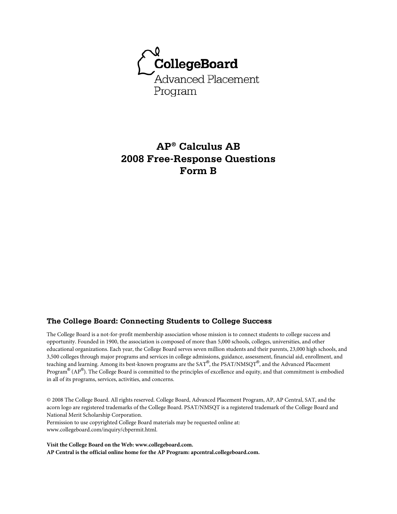

# **AP® Calculus AB 2008 Free-Response Questions Form B**

#### **The College Board: Connecting Students to College Success**

The College Board is a not-for-profit membership association whose mission is to connect students to college success and opportunity. Founded in 1900, the association is composed of more than 5,000 schools, colleges, universities, and other educational organizations. Each year, the College Board serves seven million students and their parents, 23,000 high schools, and 3,500 colleges through major programs and services in college admissions, guidance, assessment, financial aid, enrollment, and teaching and learning. Among its best-known programs are the SAT®, the PSAT/NMSQT®, and the Advanced Placement Program® (AP®). The College Board is committed to the principles of excellence and equity, and that commitment is embodied in all of its programs, services, activities, and concerns.

© 2008 The College Board. All rights reserved. College Board, Advanced Placement Program, AP, AP Central, SAT, and the acorn logo are registered trademarks of the College Board. PSAT/NMSQT is a registered trademark of the College Board and National Merit Scholarship Corporation.

Permission to use copyrighted College Board materials may be requested online at: www.collegeboard.com/inquiry/cbpermit.html.

**Visit the College Board on the Web: www.collegeboard.com. AP Central is the official online home for the AP Program: apcentral.collegeboard.com.**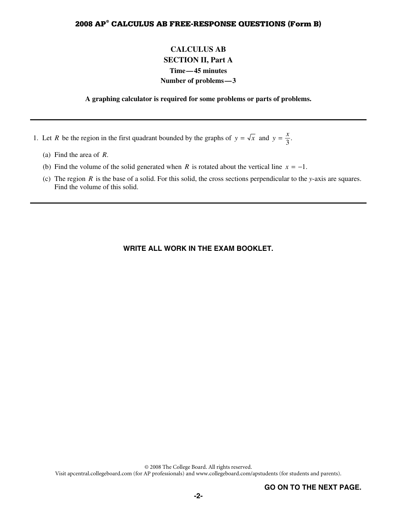# **CALCULUS AB SECTION II, Part A Time—45 minutes Number of problems—3**

**A graphing calculator is required for some problems or parts of problems.** 

- 1. Let *R* be the region in the first quadrant bounded by the graphs of  $y = \sqrt{x}$  and  $y = \frac{x}{3}$ .
	- (a) Find the area of *R*.
	- (b) Find the volume of the solid generated when *R* is rotated about the vertical line  $x = -1$ .
	- (c) The region *R* is the base of a solid. For this solid, the cross sections perpendicular to the *y*-axis are squares. Find the volume of this solid.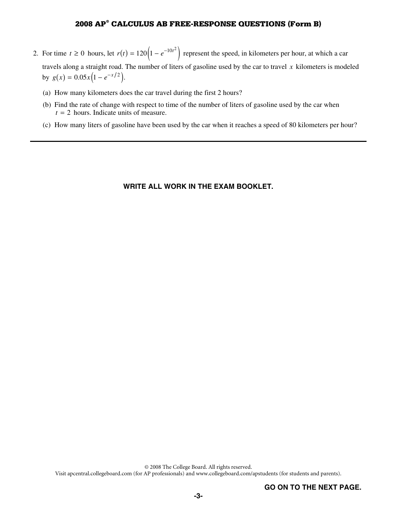- 2. For time  $t \ge 0$  hours, let  $r(t) = 120(1 e^{-10t^2})$  represent the speed, in kilometers per hour, at which a car travels along a straight road. The number of liters of gasoline used by the car to travel *x* kilometers is modeled by  $g(x) = 0.05x(1 - e^{-x/2}).$ 
	- (a) How many kilometers does the car travel during the first 2 hours?
	- (b) Find the rate of change with respect to time of the number of liters of gasoline used by the car when  $t = 2$  hours. Indicate units of measure.
	- (c) How many liters of gasoline have been used by the car when it reaches a speed of 80 kilometers per hour?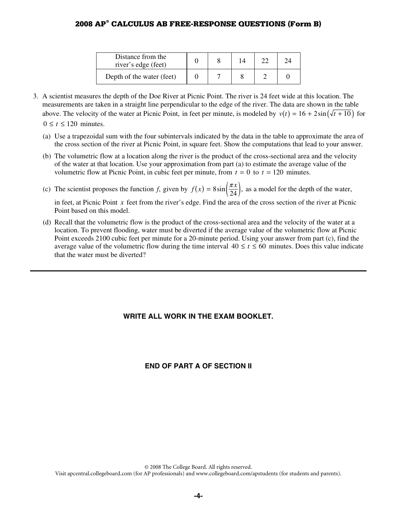| Distance from the<br>river's edge (feet) |  |  |  |
|------------------------------------------|--|--|--|
| Depth of the water (feet)                |  |  |  |

 3. A scientist measures the depth of the Doe River at Picnic Point. The river is 24 feet wide at this location. The measurements are taken in a straight line perpendicular to the edge of the river. The data are shown in the table above. The velocity of the water at Picnic Point, in feet per minute, is modeled by  $v(t) = 16 + 2\sin(\sqrt{t+10})$  for

 $0 \le t \le 120$  minutes.

- (a) Use a trapezoidal sum with the four subintervals indicated by the data in the table to approximate the area of the cross section of the river at Picnic Point, in square feet. Show the computations that lead to your answer.
- (b) The volumetric flow at a location along the river is the product of the cross-sectional area and the velocity of the water at that location. Use your approximation from part (a) to estimate the average value of the volumetric flow at Picnic Point, in cubic feet per minute, from  $t = 0$  to  $t = 120$  minutes.

(c) The scientist proposes the function *f*, given by  $f(x) = 8 \sin\left(\frac{\pi x}{24}\right)$ , as a model for the depth of the water,

in feet, at Picnic Point *x* feet from the river's edge. Find the area of the cross section of the river at Picnic Point based on this model.

(d) Recall that the volumetric flow is the product of the cross-sectional area and the velocity of the water at a location. To prevent flooding, water must be diverted if the average value of the volumetric flow at Picnic Point exceeds 2100 cubic feet per minute for a 20-minute period. Using your answer from part (c), find the average value of the volumetric flow during the time interval  $40 \le t \le 60$  minutes. Does this value indicate that the water must be diverted?

#### **WRITE ALL WORK IN THE EXAM BOOKLET.**

#### **END OF PART A OF SECTION II**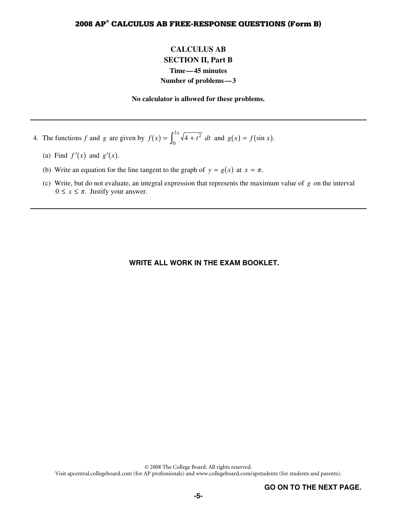# **CALCULUS AB SECTION II, Part B Time—45 minutes Number of problems—3**

**No calculator is allowed for these problems.** 

- 4. The functions *f* and *g* are given by  $f(x) = \int_0^{3x} \sqrt{4 + t^2} dt$  and  $g(x) = f(\sin x)$ .
	- (a) Find  $f'(x)$  and  $g'(x)$ .
	- (b) Write an equation for the line tangent to the graph of  $y = g(x)$  at  $x = \pi$ .
	- (c) Write, but do not evaluate, an integral expression that represents the maximum value of *g* on the interval  $0 \leq x \leq \pi$ . Justify your answer.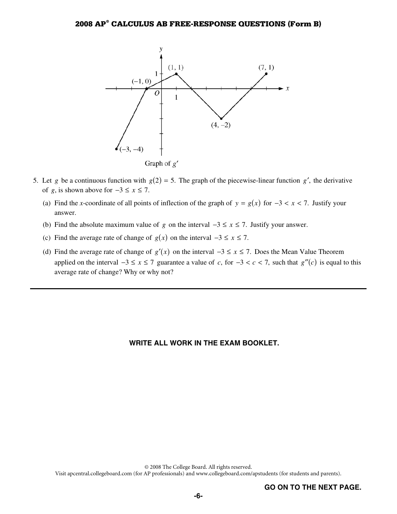

- 5. Let *g* be a continuous function with  $g(2) = 5$ . The graph of the piecewise-linear function *g'*, the derivative of *g*, is shown above for  $-3 \le x \le 7$ .
	- (a) Find the *x*-coordinate of all points of inflection of the graph of  $y = g(x)$  for  $-3 < x < 7$ . Justify your answer.
	- (b) Find the absolute maximum value of *g* on the interval  $-3 \le x \le 7$ . Justify your answer.
	- (c) Find the average rate of change of  $g(x)$  on the interval  $-3 \le x \le 7$ .
	- (d) Find the average rate of change of  $g'(x)$  on the interval  $-3 \le x \le 7$ . Does the Mean Value Theorem applied on the interval  $-3 \le x \le 7$  guarantee a value of *c*, for  $-3 < c < 7$ , such that  $g''(c)$  is equal to this average rate of change? Why or why not?